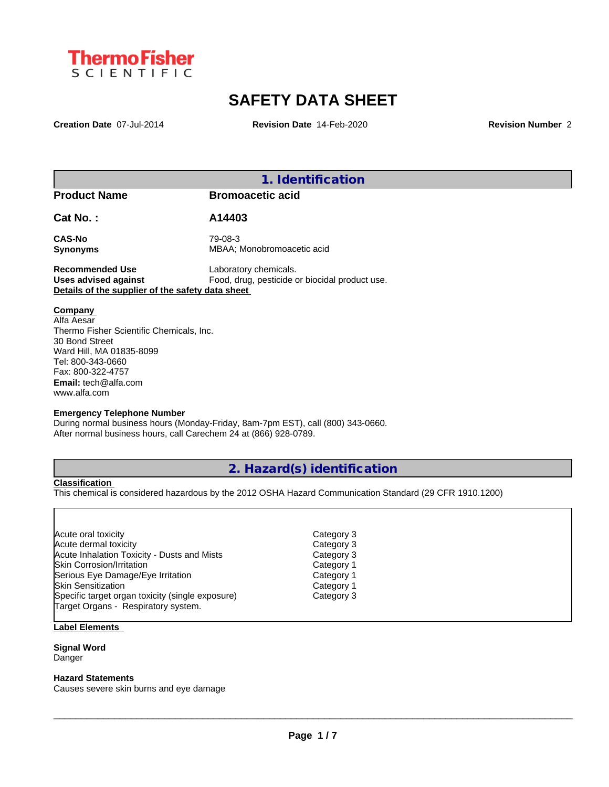

## **SAFETY DATA SHEET**

**Creation Date** 07-Jul-2014 **Revision Date** 14-Feb-2020 **Revision Number** 2

**1. Identification**

**Product Name Bromoacetic acid**

**Cat No. : A14403**

**CAS-No** 79-08-3

**Synonyms** MBAA; Monobromoacetic acid

**Recommended Use** Laboratory chemicals.<br> **Uses advised against** Food, drug, pesticide of Food, drug, pesticide or biocidal product use. **Details of the supplier of the safety data sheet**

**Company** 

Alfa Aesar Thermo Fisher Scientific Chemicals, Inc. 30 Bond Street Ward Hill, MA 01835-8099 Tel: 800-343-0660 Fax: 800-322-4757 **Email:** tech@alfa.com www.alfa.com

### **Emergency Telephone Number**

During normal business hours (Monday-Friday, 8am-7pm EST), call (800) 343-0660. After normal business hours, call Carechem 24 at (866) 928-0789.

### **2. Hazard(s) identification**

**Classification**

This chemical is considered hazardous by the 2012 OSHA Hazard Communication Standard (29 CFR 1910.1200)

| Acute oral toxicity                              | Category 3 |  |
|--------------------------------------------------|------------|--|
| Acute dermal toxicity                            | Category 3 |  |
| Acute Inhalation Toxicity - Dusts and Mists      | Category 3 |  |
| <b>Skin Corrosion/Irritation</b>                 | Category 1 |  |
| Serious Eye Damage/Eye Irritation                | Category 1 |  |
| <b>ISkin Sensitization</b>                       | Category 1 |  |
| Specific target organ toxicity (single exposure) | Category 3 |  |
| Target Organs - Respiratory system.              |            |  |
|                                                  |            |  |

### **Label Elements**

#### **Signal Word** Danger

### **Hazard Statements**

Causes severe skin burns and eye damage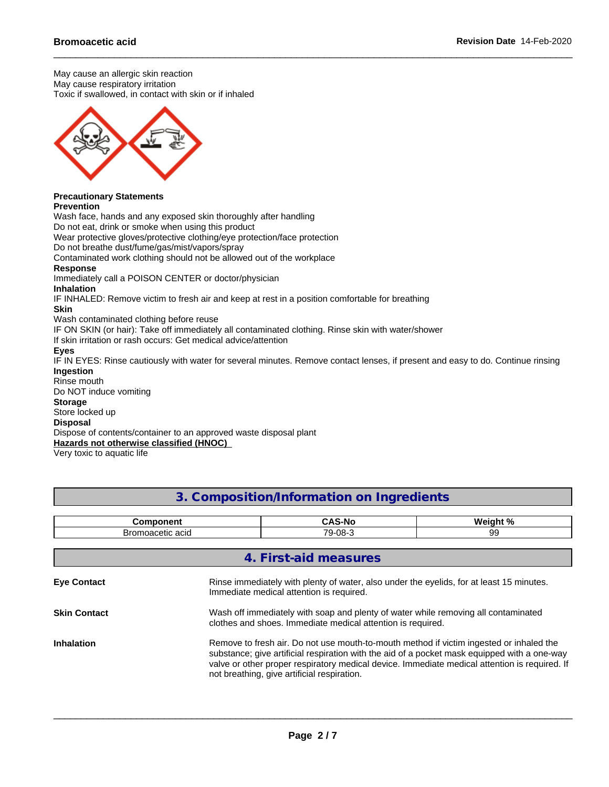May cause an allergic skin reaction May cause respiratory irritation Toxic if swallowed, in contact with skin or if inhaled



#### **Precautionary Statements Prevention**

Wash face, hands and any exposed skin thoroughly after handling

Do not eat, drink or smoke when using this product

Wear protective gloves/protective clothing/eye protection/face protection

Do not breathe dust/fume/gas/mist/vapors/spray

Contaminated work clothing should not be allowed out of the workplace

### **Response**

Immediately call a POISON CENTER or doctor/physician

**Inhalation**

IF INHALED: Remove victim to fresh air and keep at rest in a position comfortable for breathing

**Skin**

Wash contaminated clothing before reuse

IF ON SKIN (or hair): Take off immediately all contaminated clothing. Rinse skin with water/shower

If skin irritation or rash occurs: Get medical advice/attention

### **Eyes**

IF IN EYES: Rinse cautiously with water for several minutes. Remove contact lenses, if present and easy to do. Continue rinsing **Ingestion**

Rinse mouth Do NOT induce vomiting

### **Storage**

Store locked up

### **Disposal**

Dispose of contents/container to an approved waste disposal plant **Hazards not otherwise classified (HNOC)**

Very toxic to aquatic life

| 3. Composition/Information on Ingredients |  |
|-------------------------------------------|--|
|-------------------------------------------|--|

| ∙omponent                             | ◠                                                        | Moint 0/         |
|---------------------------------------|----------------------------------------------------------|------------------|
| .<br>nacetic aciu<br>ייווטוכ <i>ו</i> | $\overline{\phantom{a}}$<br>O <sub>R</sub><br>้น-<br>uc. | $\sim$<br>.<br>ີ |

|                     | 4. First-aid measures                                                                                                                                                                                                                                                                                                                   |
|---------------------|-----------------------------------------------------------------------------------------------------------------------------------------------------------------------------------------------------------------------------------------------------------------------------------------------------------------------------------------|
| <b>Eye Contact</b>  | Rinse immediately with plenty of water, also under the eyelids, for at least 15 minutes.<br>Immediate medical attention is required.                                                                                                                                                                                                    |
| <b>Skin Contact</b> | Wash off immediately with soap and plenty of water while removing all contaminated<br>clothes and shoes. Immediate medical attention is required.                                                                                                                                                                                       |
| <b>Inhalation</b>   | Remove to fresh air. Do not use mouth-to-mouth method if victim ingested or inhaled the<br>substance; give artificial respiration with the aid of a pocket mask equipped with a one-way<br>valve or other proper respiratory medical device. Immediate medical attention is required. If<br>not breathing, give artificial respiration. |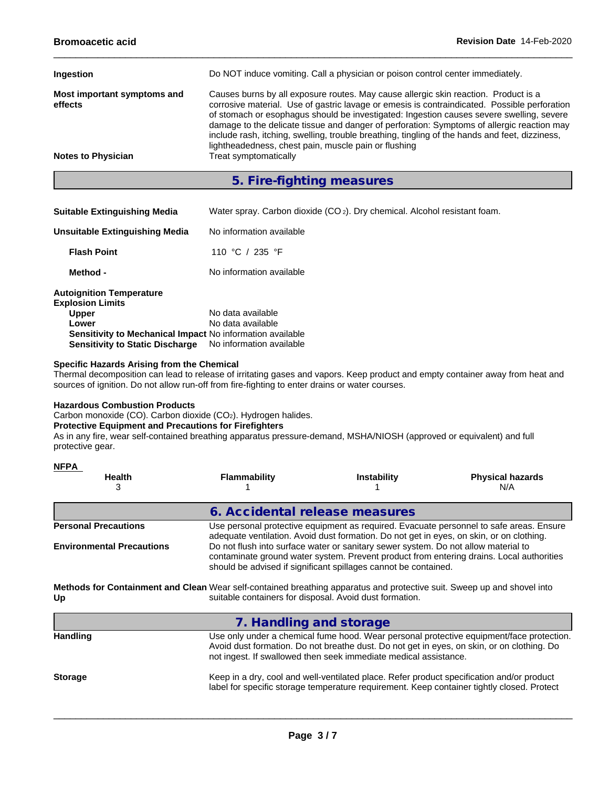| Ingestion                              | Do NOT induce vomiting. Call a physician or poison control center immediately.                                                                                                                                                                                                                                                                                                                                                                                                                                                          |
|----------------------------------------|-----------------------------------------------------------------------------------------------------------------------------------------------------------------------------------------------------------------------------------------------------------------------------------------------------------------------------------------------------------------------------------------------------------------------------------------------------------------------------------------------------------------------------------------|
| Most important symptoms and<br>effects | Causes burns by all exposure routes. May cause allergic skin reaction. Product is a<br>corrosive material. Use of gastric lavage or emesis is contraindicated. Possible perforation<br>of stomach or esophagus should be investigated: Ingestion causes severe swelling, severe<br>damage to the delicate tissue and danger of perforation: Symptoms of allergic reaction may<br>include rash, itching, swelling, trouble breathing, tingling of the hands and feet, dizziness,<br>lightheadedness, chest pain, muscle pain or flushing |
| <b>Notes to Physician</b>              | Treat symptomatically                                                                                                                                                                                                                                                                                                                                                                                                                                                                                                                   |

**5. Fire-fighting measures**

| <b>Suitable Extinguishing Media</b> | Water spray. Carbon dioxide (CO <sub>2</sub> ). Dry chemical. Alcohol resistant foam. |  |
|-------------------------------------|---------------------------------------------------------------------------------------|--|
|-------------------------------------|---------------------------------------------------------------------------------------|--|

| Unsuitable Extinguishing Media                             | No information available |
|------------------------------------------------------------|--------------------------|
| <b>Flash Point</b>                                         | 110 °C / 235 °F          |
| Method -                                                   | No information available |
| <b>Autoignition Temperature</b><br><b>Explosion Limits</b> |                          |
| <b>Upper</b>                                               | No data available        |
| Lower                                                      | No data available        |
| Sensitivity to Mechanical Impact No information available  |                          |
| <b>Sensitivity to Static Discharge</b>                     | No information available |

### **Specific Hazards Arising from the Chemical**

Thermal decomposition can lead to release of irritating gases and vapors. Keep product and empty container away from heat and sources of ignition. Do not allow run-off from fire-fighting to enter drains or water courses.

### **Hazardous Combustion Products**

Carbon monoxide (CO). Carbon dioxide (CO2). Hydrogen halides.

### **Protective Equipment and Precautions for Firefighters**

As in any fire, wear self-contained breathing apparatus pressure-demand, MSHA/NIOSH (approved or equivalent) and full protective gear.

| <b>NFPA</b><br><b>Health</b><br>3 | <b>Flammability</b>                                                                                                                                                                                                                               | <b>Instability</b> | <b>Physical hazards</b><br>N/A |
|-----------------------------------|---------------------------------------------------------------------------------------------------------------------------------------------------------------------------------------------------------------------------------------------------|--------------------|--------------------------------|
|                                   | 6. Accidental release measures                                                                                                                                                                                                                    |                    |                                |
| <b>Personal Precautions</b>       | Use personal protective equipment as required. Evacuate personnel to safe areas. Ensure<br>adequate ventilation. Avoid dust formation. Do not get in eyes, on skin, or on clothing.                                                               |                    |                                |
| <b>Environmental Precautions</b>  | Do not flush into surface water or sanitary sewer system. Do not allow material to<br>contaminate ground water system. Prevent product from entering drains. Local authorities<br>should be advised if significant spillages cannot be contained. |                    |                                |
| Up                                | Methods for Containment and Clean Wear self-contained breathing apparatus and protective suit. Sweep up and shovel into<br>suitable containers for disposal. Avoid dust formation.                                                                |                    |                                |
|                                   | 7. Handling and storage                                                                                                                                                                                                                           |                    |                                |

|                 | <i>i</i> . Trantaning and storage                                                                                                                                                                                                                          |
|-----------------|------------------------------------------------------------------------------------------------------------------------------------------------------------------------------------------------------------------------------------------------------------|
| <b>Handling</b> | Use only under a chemical fume hood. Wear personal protective equipment/face protection.<br>Avoid dust formation. Do not breathe dust. Do not get in eyes, on skin, or on clothing. Do<br>not ingest. If swallowed then seek immediate medical assistance. |
| <b>Storage</b>  | Keep in a dry, cool and well-ventilated place. Refer product specification and/or product<br>label for specific storage temperature requirement. Keep container tightly closed. Protect                                                                    |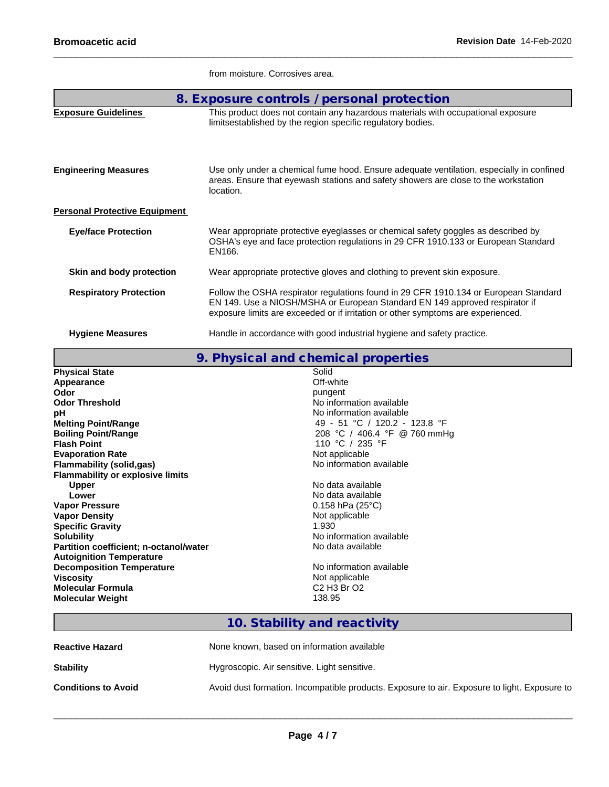|                                      | from moisture. Corrosives area.                                                                                                                                                                                                                         |
|--------------------------------------|---------------------------------------------------------------------------------------------------------------------------------------------------------------------------------------------------------------------------------------------------------|
|                                      | 8. Exposure controls / personal protection                                                                                                                                                                                                              |
| <b>Exposure Guidelines</b>           | This product does not contain any hazardous materials with occupational exposure<br>limitsestablished by the region specific regulatory bodies.                                                                                                         |
| <b>Engineering Measures</b>          | Use only under a chemical fume hood. Ensure adequate ventilation, especially in confined<br>areas. Ensure that eyewash stations and safety showers are close to the workstation<br>location.                                                            |
| <b>Personal Protective Equipment</b> |                                                                                                                                                                                                                                                         |
| <b>Eye/face Protection</b>           | Wear appropriate protective eyeglasses or chemical safety goggles as described by<br>OSHA's eye and face protection regulations in 29 CFR 1910.133 or European Standard<br>EN166.                                                                       |
| Skin and body protection             | Wear appropriate protective gloves and clothing to prevent skin exposure.                                                                                                                                                                               |
| <b>Respiratory Protection</b>        | Follow the OSHA respirator regulations found in 29 CFR 1910.134 or European Standard<br>EN 149. Use a NIOSH/MSHA or European Standard EN 149 approved respirator if<br>exposure limits are exceeded or if irritation or other symptoms are experienced. |
| <b>Hygiene Measures</b>              | Handle in accordance with good industrial hygiene and safety practice.                                                                                                                                                                                  |

|                                         | 9. Physical and chemical properties                         |
|-----------------------------------------|-------------------------------------------------------------|
| <b>Physical State</b>                   | Solid                                                       |
| Appearance                              | Off-white                                                   |
| Odor                                    | pungent                                                     |
| <b>Odor Threshold</b>                   | No information available                                    |
| рH                                      | No information available                                    |
| <b>Melting Point/Range</b>              | 49 - 51 °C / 120.2 - 123.8 °F                               |
| <b>Boiling Point/Range</b>              | 208 °C / 406.4 °F @ 760 mmHg                                |
| <b>Flash Point</b>                      | 110 °C / 235 °F                                             |
| <b>Evaporation Rate</b>                 | Not applicable                                              |
| <b>Flammability (solid,gas)</b>         | No information available                                    |
| <b>Flammability or explosive limits</b> |                                                             |
| <b>Upper</b>                            | No data available                                           |
| Lower                                   | No data available                                           |
| <b>Vapor Pressure</b>                   | $0.158$ hPa (25°C)                                          |
| <b>Vapor Density</b>                    | Not applicable                                              |
| <b>Specific Gravity</b>                 | 1.930                                                       |
| <b>Solubility</b>                       | No information available                                    |
| Partition coefficient; n-octanol/water  | No data available                                           |
| <b>Autoignition Temperature</b>         |                                                             |
| <b>Decomposition Temperature</b>        | No information available                                    |
| <b>Viscosity</b>                        | Not applicable                                              |
| <b>Molecular Formula</b>                | C <sub>2</sub> H <sub>3</sub> B <sub>r</sub> O <sub>2</sub> |
| <b>Molecular Weight</b>                 | 138.95                                                      |

### **10. Stability and reactivity**

| <b>Reactive Hazard</b>     | None known, based on information available                                                   |
|----------------------------|----------------------------------------------------------------------------------------------|
| <b>Stability</b>           | Hygroscopic. Air sensitive. Light sensitive.                                                 |
| <b>Conditions to Avoid</b> | Avoid dust formation. Incompatible products. Exposure to air. Exposure to light. Exposure to |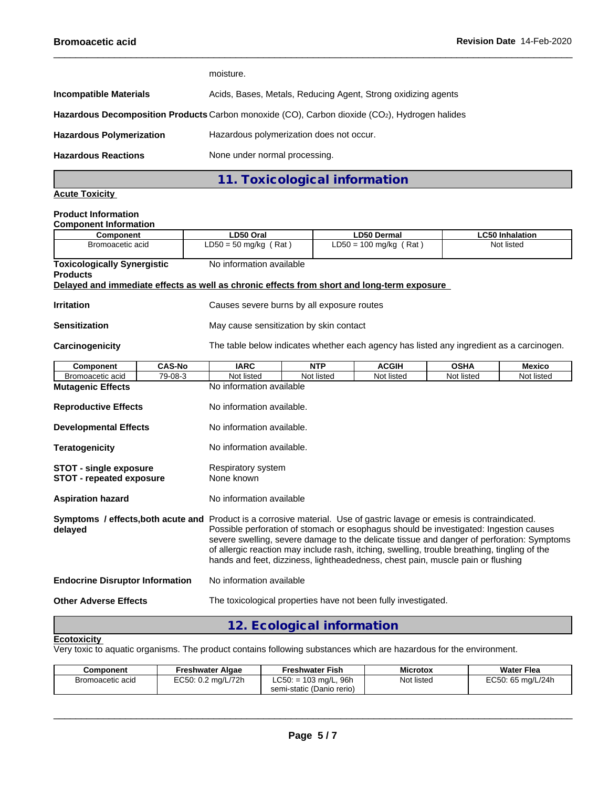|                                                                             | moisture.                                                     |                                                                                               |                        |  |  |  |  |
|-----------------------------------------------------------------------------|---------------------------------------------------------------|-----------------------------------------------------------------------------------------------|------------------------|--|--|--|--|
| <b>Incompatible Materials</b>                                               | Acids, Bases, Metals, Reducing Agent, Strong oxidizing agents |                                                                                               |                        |  |  |  |  |
|                                                                             |                                                               | Hazardous Decomposition Products Carbon monoxide (CO), Carbon dioxide (CO2), Hydrogen halides |                        |  |  |  |  |
| <b>Hazardous Polymerization</b><br>Hazardous polymerization does not occur. |                                                               |                                                                                               |                        |  |  |  |  |
| <b>Hazardous Reactions</b>                                                  | None under normal processing.                                 |                                                                                               |                        |  |  |  |  |
|                                                                             | 11. Toxicological information                                 |                                                                                               |                        |  |  |  |  |
| <b>Acute Toxicity</b>                                                       |                                                               |                                                                                               |                        |  |  |  |  |
| <b>Product Information</b><br><b>Component Information</b>                  |                                                               |                                                                                               |                        |  |  |  |  |
| <b>Component</b>                                                            | LD50 Oral                                                     | <b>LD50 Dermal</b>                                                                            | <b>LC50 Inhalation</b> |  |  |  |  |
| Bromoacetic acid                                                            | $LD50 = 50$ mg/kg (Rat)                                       | $LD50 = 100$ mg/kg (Rat)                                                                      | Not listed             |  |  |  |  |
| <b>Toxicologically Synergistic</b><br><b>Products</b>                       | No information available                                      |                                                                                               |                        |  |  |  |  |

#### **Delayed and immediate effects as well as chronic effects from short and long-term exposure**

| <b>Irritation</b>                                                  |               | Causes severe burns by all exposure routes                                                                                                                                                                                                                                                                                                                                                                                                                                                       |            |              |             |               |  |  |  |
|--------------------------------------------------------------------|---------------|--------------------------------------------------------------------------------------------------------------------------------------------------------------------------------------------------------------------------------------------------------------------------------------------------------------------------------------------------------------------------------------------------------------------------------------------------------------------------------------------------|------------|--------------|-------------|---------------|--|--|--|
| <b>Sensitization</b>                                               |               | May cause sensitization by skin contact                                                                                                                                                                                                                                                                                                                                                                                                                                                          |            |              |             |               |  |  |  |
| Carcinogenicity                                                    |               | The table below indicates whether each agency has listed any ingredient as a carcinogen.                                                                                                                                                                                                                                                                                                                                                                                                         |            |              |             |               |  |  |  |
| <b>Component</b>                                                   | <b>CAS-No</b> | <b>IARC</b>                                                                                                                                                                                                                                                                                                                                                                                                                                                                                      | <b>NTP</b> | <b>ACGIH</b> | <b>OSHA</b> | <b>Mexico</b> |  |  |  |
| Bromoacetic acid                                                   | 79-08-3       | Not listed                                                                                                                                                                                                                                                                                                                                                                                                                                                                                       | Not listed | Not listed   | Not listed  | Not listed    |  |  |  |
| <b>Mutagenic Effects</b>                                           |               | No information available                                                                                                                                                                                                                                                                                                                                                                                                                                                                         |            |              |             |               |  |  |  |
| <b>Reproductive Effects</b>                                        |               | No information available.                                                                                                                                                                                                                                                                                                                                                                                                                                                                        |            |              |             |               |  |  |  |
| <b>Developmental Effects</b>                                       |               | No information available.                                                                                                                                                                                                                                                                                                                                                                                                                                                                        |            |              |             |               |  |  |  |
| <b>Teratogenicity</b>                                              |               | No information available.                                                                                                                                                                                                                                                                                                                                                                                                                                                                        |            |              |             |               |  |  |  |
| <b>STOT - single exposure</b><br><b>STOT - repeated exposure</b>   |               | Respiratory system<br>None known                                                                                                                                                                                                                                                                                                                                                                                                                                                                 |            |              |             |               |  |  |  |
| <b>Aspiration hazard</b>                                           |               | No information available                                                                                                                                                                                                                                                                                                                                                                                                                                                                         |            |              |             |               |  |  |  |
| delayed                                                            |               | Symptoms / effects, both acute and Product is a corrosive material. Use of gastric lavage or emesis is contraindicated.<br>Possible perforation of stomach or esophagus should be investigated: Ingestion causes<br>severe swelling, severe damage to the delicate tissue and danger of perforation: Symptoms<br>of allergic reaction may include rash, itching, swelling, trouble breathing, tingling of the<br>hands and feet, dizziness, lightheadedness, chest pain, muscle pain or flushing |            |              |             |               |  |  |  |
| No information available<br><b>Endocrine Disruptor Information</b> |               |                                                                                                                                                                                                                                                                                                                                                                                                                                                                                                  |            |              |             |               |  |  |  |
| <b>Other Adverse Effects</b>                                       |               | The toxicological properties have not been fully investigated.                                                                                                                                                                                                                                                                                                                                                                                                                                   |            |              |             |               |  |  |  |
|                                                                    |               |                                                                                                                                                                                                                                                                                                                                                                                                                                                                                                  |            |              |             |               |  |  |  |

### **12. Ecological information**

### **Ecotoxicity**

Very toxic to aquatic organisms. The product contains following substances which are hazardous for the environment.

| Component        | Freshwater Algae   | <b>Freshwater Fish</b>                               | <b>Microtox</b> | <b>Water Flea</b> |
|------------------|--------------------|------------------------------------------------------|-----------------|-------------------|
| Bromoacetic acid | EC50: 0.2 mg/L/72h | $LC50: = 103$ mg/L, 96h<br>semi-static (Danio rerio) | Not listed      | EC50: 65 ma/L/24h |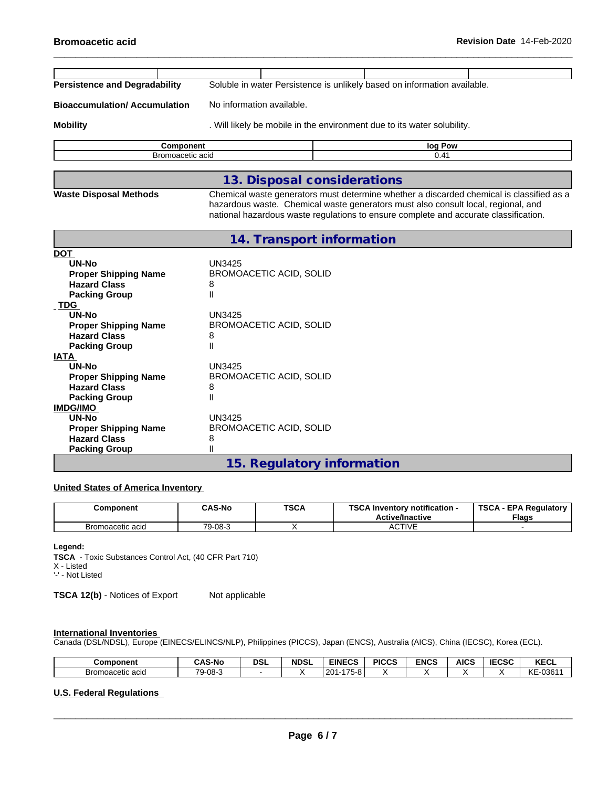| <b>Bromoacetic acid</b>              |                                                                                                                                                                                                                                                                       |  |         | Revision Date 14-Feb-2020 |  |
|--------------------------------------|-----------------------------------------------------------------------------------------------------------------------------------------------------------------------------------------------------------------------------------------------------------------------|--|---------|---------------------------|--|
|                                      |                                                                                                                                                                                                                                                                       |  |         |                           |  |
| <b>Persistence and Degradability</b> | Soluble in water Persistence is unlikely based on information available.                                                                                                                                                                                              |  |         |                           |  |
| <b>Bioaccumulation/Accumulation</b>  | No information available.                                                                                                                                                                                                                                             |  |         |                           |  |
| <b>Mobility</b>                      | . Will likely be mobile in the environment due to its water solubility.                                                                                                                                                                                               |  |         |                           |  |
| <b>Component</b>                     |                                                                                                                                                                                                                                                                       |  | log Pow |                           |  |
| Bromoacetic acid                     |                                                                                                                                                                                                                                                                       |  | 0.41    |                           |  |
|                                      |                                                                                                                                                                                                                                                                       |  |         |                           |  |
|                                      | 13. Disposal considerations                                                                                                                                                                                                                                           |  |         |                           |  |
| <b>Waste Disposal Methods</b>        | Chemical waste generators must determine whether a discarded chemical is classified as a<br>hazardous waste. Chemical waste generators must also consult local, regional, and<br>national hazardous waste regulations to ensure complete and accurate classification. |  |         |                           |  |
|                                      | 14. Transport information                                                                                                                                                                                                                                             |  |         |                           |  |
| <b>DOT</b>                           |                                                                                                                                                                                                                                                                       |  |         |                           |  |
| UN-No                                | <b>UN3425</b>                                                                                                                                                                                                                                                         |  |         |                           |  |
| <b>Proper Shipping Name</b>          | <b>BROMOACETIC ACID, SOLID</b>                                                                                                                                                                                                                                        |  |         |                           |  |
| <b>Hazard Class</b>                  | 8                                                                                                                                                                                                                                                                     |  |         |                           |  |
| <b>Packing Group</b>                 | Ш                                                                                                                                                                                                                                                                     |  |         |                           |  |
| <b>TDG</b>                           |                                                                                                                                                                                                                                                                       |  |         |                           |  |
| <b>UN-No</b>                         | <b>UN3425</b>                                                                                                                                                                                                                                                         |  |         |                           |  |
| <b>Proper Shipping Name</b>          | <b>BROMOACETIC ACID, SOLID</b>                                                                                                                                                                                                                                        |  |         |                           |  |
| <b>Hazard Class</b>                  | 8                                                                                                                                                                                                                                                                     |  |         |                           |  |
| <b>Packing Group</b>                 | Ш                                                                                                                                                                                                                                                                     |  |         |                           |  |
| <b>IATA</b><br>UN-No                 | <b>UN3425</b>                                                                                                                                                                                                                                                         |  |         |                           |  |
| <b>Proper Shipping Name</b>          | <b>BROMOACETIC ACID, SOLID</b>                                                                                                                                                                                                                                        |  |         |                           |  |
| <b>Hazard Class</b>                  | 8                                                                                                                                                                                                                                                                     |  |         |                           |  |
| <b>Packing Group</b>                 | Ш                                                                                                                                                                                                                                                                     |  |         |                           |  |
| <b>IMDG/IMO</b>                      |                                                                                                                                                                                                                                                                       |  |         |                           |  |
| <b>UN-No</b>                         | <b>UN3425</b>                                                                                                                                                                                                                                                         |  |         |                           |  |
| <b>Proper Shipping Name</b>          | <b>BROMOACETIC ACID, SOLID</b>                                                                                                                                                                                                                                        |  |         |                           |  |
| <b>Hazard Class</b>                  | 8                                                                                                                                                                                                                                                                     |  |         |                           |  |
| <b>Packing Group</b>                 | $\mathbf{I}$                                                                                                                                                                                                                                                          |  |         |                           |  |

# **15. Regulatory information**

### **United States of America Inventory**

| Component        | <b>CAS-No</b> | <b>TSCA</b> | <b>TOO A</b><br>A Inventory notification -<br><b>Active/Inactive</b> | <b>TSCA</b><br><b>EPA Requiatory</b><br><b>Flags</b> |
|------------------|---------------|-------------|----------------------------------------------------------------------|------------------------------------------------------|
| Bromoacetic acid | 79-08-3       |             | ACTIVE                                                               |                                                      |

#### **Legend:**

**TSCA** - Toxic Substances Control Act, (40 CFR Part 710)

X - Listed

'-' - Not Listed

**TSCA 12(b)** - Notices of Export Not applicable

### **International Inventories**

Canada (DSL/NDSL), Europe (EINECS/ELINCS/NLP), Philippines (PICCS), Japan (ENCS), Australia (AICS), China (IECSC), Korea (ECL).

| Component        | <b>ົAS-No</b>          | <b>DSL</b> | <b>NDSL</b> | <b>EINECS</b>                                      | <b>PICCS</b> | <b>ENCS</b> | <b>AICS</b> | <b>IECSC</b> | <b>KECL</b>            |
|------------------|------------------------|------------|-------------|----------------------------------------------------|--------------|-------------|-------------|--------------|------------------------|
| Bromoacetic acid | 70<br>$-08 - 3$<br>- 0 |            |             | $\rightarrow -$<br>$20^{\circ}$<br>$\sim$<br>75-81 |              |             |             |              | KE-<br>$-0361^{\circ}$ |

### **U.S. Federal Regulations**